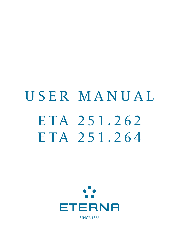# USER MANUAL ETA 251.262 ETA 251.264



**SINCE 1856**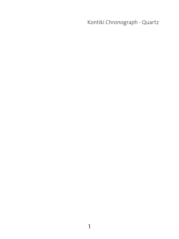Kontiki Chronograph - Quartz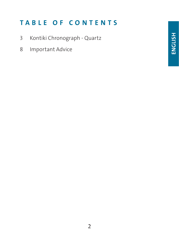# TABLE OF CONTENTS

- 3 Kontiki Chronograph Quartz
- 8 Important Advice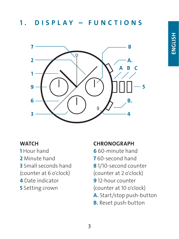## 1 . DISPLAY – FUNCTIONS



#### **WATCH**

- 1 Hour hand
- 2 Minute hand
- 3 Small seconds hand
- (counter at 6 o'clock)
- 4 Date indicator
- **5** Setting crown

#### **CHRONOGRAPH**

- 6 60-minute hand
- 7 60-second hand
- 8 1/10-second counter
- (counter at 2 o'clock)
- 9 12-hour counter
- (counter at 10 o'clock)
- A. Start/stop push-button
- **B.** Reset push-button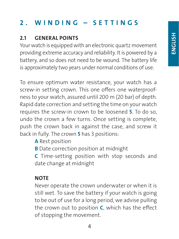# 2 . WINDING – SETTINGS

## 2.1 GENERAL POINTS

Your watch is equipped with an electronic quartz movement providing extreme accuracy and reliability. It is powered by a battery, and so does not need to be wound. The battery life is approximately two years under normal conditions of use.

To ensure optimum water resistance, your watch has a screw-in setting crown. This one offers one waterproofness to your watch, assured until 200 m (20 bar) of depth. Rapid date correction and setting the time on your watch requires the screw-in crown to be loosened 5. To do so, undo the crown a few turns. Once setting is complete, push the crown back in against the case, and screw it back in fully. The crown 5 has 3 positions:

A Rest position

**B** Date correction position at midnight

C Time-setting position with stop seconds and date change at midnight

## **NOTE**

Never operate the crown underwater or when it is still wet. To save the battery if your watch is going to be out of use for a long period, we advise pulling the crown out to position  $C$ , which has the effect of stopping the movement.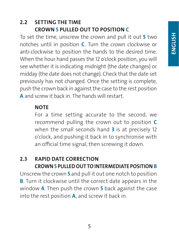ENGLISH

#### 2.2 SETTING THE TIME CROWN 5 PULLED OUT TO POSITION C

To set the time, unscrew the crown and pull it out 5 two notches until in position  $C$ . Turn the crown clockwise or anti-clockwise to position the hands to the desired time. When the hour hand passes the 12 o'clock position, you will see whether it is indicating midnight (the date changes) or midday (the date does not change). Check that the date set previously has not changed. Once the setting is complete, push the crown back in against the case to the rest position A and screw it back in. The hands will restart

#### **NOTE**

For a time setting accurate to the second, we recommend pulling the crown out to position C when the small seconds hand 3 is at precisely 12 o'clock, and pushing it back in to synchronise with an official time signal, then screwing it down.

## 2.3 RAPID DATE CORRECTION CROWN 5 PULLED OUT TO INTERMEDIATE POSITION B

Unscrew the crown 5 and pull it out one notch to position **B.** Turn it clockwise until the correct date appears in the window **4**. Then push the crown **5** back against the case into the rest position A, and screw it back in.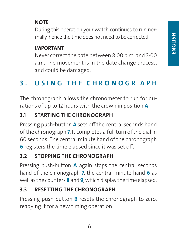## **NOTE**

During this operation your watch continues to run normally, hence the time does not need to be corrected.

#### IMPORTANT

Never correct the date between 8:00 p.m. and 2:00 a.m. The movement is in the date change process, and could be damaged.

# 3 . USING THE CHRONOGR APH

The chronograph allows the chronometer to run for durations of up to 12 hours with the crown in position **A**.

## 3.1 STARTING THE CHRONOGRAPH

Pressing push-button **A** sets off the central seconds hand of the chronograph 7. It completes a full turn of the dial in 60 seconds. The central minute hand of the chronograph 6 registers the time elapsed since it was set off.

## 3.2 STOPPING THE CHRONOGRAPH

Pressing push-button **A** again stops the central seconds hand of the chronograph 7, the central minute hand 6 as well as the counters 8 and 9, which display the time elapsed.

## 3.3 RESETTING THE CHRONOGRAPH

Pressing push-button **B** resets the chronograph to zero, readying it for a new timing operation.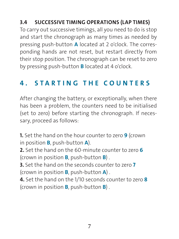## 3.4 SUCCESSIVE TIMING OPERATIONS (LAP TIMES)

To carry out successive timings, all you need to do is stop and start the chronograph as many times as needed by pressing push-button A located at 2 o'clock. The corresponding hands are not reset, but restart directly from their stop position. The chronograph can be reset to zero by pressing push-button B located at 4 o'clock.

## 4 . STARTING THE COUNTERS

After changing the battery, or exceptionally, when there has been a problem, the counters need to be initialised (set to zero) before starting the chronograph. If necessary, proceed as follows:

**1.** Set the hand on the hour counter to zero **9** (crown in position B, push-button A). 2. Set the hand on the 60-minute counter to zero 6 (crown in position  $B$ , push-button  $B$ ). 3. Set the hand on the seconds counter to zero 7 (crown in position **B**, push-button  $\mathbf{A}$ ). 4. Set the hand on the 1/10 seconds counter to zero 8 (crown in position  $B$ , push-button  $B$ ).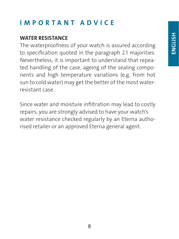# IMPORTANT ADVICE

## WATER RESISTANCE

The waterproofness of your watch is assured according to specification quoted in the paragraph 2.1 majorities. Nevertheless, it is important to understand that repeated handling of the case, ageing of the sealing components and high temperature variations (e.g. from hot sun to cold water) may get the better of the most waterresistant case.

Since water and moisture infiltration may lead to costly repairs, you are strongly advised to have your watch's water resistance checked regularly by an Eterna authorised retailer or an approved Eterna general agent.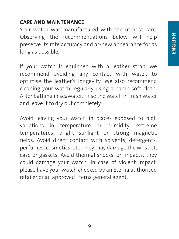#### CARE AND MAINTENANCE

Your watch was manufactured with the utmost care. Observing the recommendations below will help preserve its rate accuracy and as-new appearance for as long as possible.

If your watch is equipped with a leather strap, we recommend avoiding any contact with water, to optimise the leather's longevity. We also recommend cleaning your watch regularly using a damp soft cloth. After bathing in seawater, rinse the watch in fresh water and leave it to dry out completely.

Avoid leaving your watch in places exposed to high variations in temperature or humidity, extreme temperatures, bright sunlight or strong magnetic fields. Avoid direct contact with solvents, detergents, perfumes, cosmetics, etc. They may damage the wristlet, case or gaskets. Avoid thermal shocks, or impacts: they could damage your watch. In case of violent impact, please have your watch checked by an Eterna authorised retailer or an approved Eterna general agent.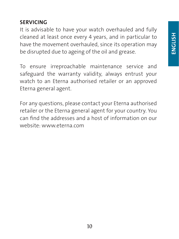## SERVICING

It is advisable to have your watch overhauled and fully cleaned at least once every 4 years, and in particular to have the movement overhauled, since its operation may be disrupted due to ageing of the oil and grease.

To ensure irreproachable maintenance service and safeguard the warranty validity, always entrust your watch to an Eterna authorised retailer or an approved Eterna general agent.

For any questions, please contact your Eterna authorised retailer or the Eterna general agent for your country. You can find the addresses and a host of information on our website: www.eterna.com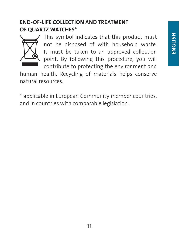#### END-OF-LIFE COLLECTION AND TREATMENT OF QUARTZ WATCHES\*



This symbol indicates that this product must not be disposed of with household waste. It must be taken to an approved collection point. By following this procedure, you will contribute to protecting the environment and

human health. Recycling of materials helps conserve natural resources.

\* applicable in European Community member countries, and in countries with comparable legislation.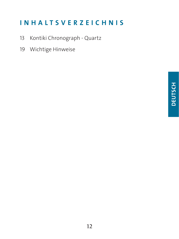## INHALTSVERZEICHNIS

- 13 Kontiki Chronograph Quartz
- 19 Wichtige Hinweise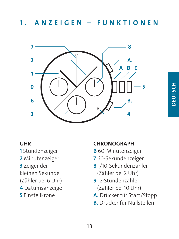## 1 . ANZEIGEN – FUNKTIONEN



# **DEUTSCH DEUTSCH**

#### UHR

- 1 Stundenzeiger
- 2 Minutenzeiger
- 3 Zeiger der
- kleinen Sekunde
- (Zähler bei 6 Uhr)
- 4 Datumsanzeige
- 5 Einstellkrone

#### **CHRONOGRAPH**

- 6 60-Minutenzeiger
- 7 60-Sekundenzeiger
- 8 1/10-Sekundenzähler (Zähler bei 2 Uhr)
- 9 12-Stundenzähler (Zähler bei 10 Uhr)
- A. Drücker für Start/Stopp
- B. Drücker für Nullstellen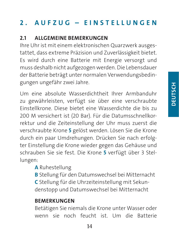# 2 . AUFZUG – EINSTELLUNGEN

## 2.1 ALLGEMEINE BEMERKUNGEN

Ihre Uhr ist mit einem elektronischen Quarzwerk ausgestattet, dass extreme Präzision und Zuverlässigkeit bietet. Es wird durch eine Batterie mit Energie versorgt und muss deshalb nicht aufgezogen werden. Die Lebensdauer der Batterie beträgt unter normalen Verwendungsbedingungen ungefähr zwei Jahre.

Um eine absolute Wasserdichtheit Ihrer Armbanduhr zu gewährleisten, verfügt sie über eine verschraubte Einstellkrone. Diese bietet eine Wasserdichte die bis zu 200 M versichert ist (20 Bar). Für die Datumsschnellkorrektur und die Zeiteinstellung der Uhr muss zuerst die verschraubte Krone 5 gelöst werden. Lösen Sie die Krone durch ein paar Umdrehungen. Drücken Sie nach erfolgter Einstellung die Krone wieder gegen das Gehäuse und schrauben Sie sie fest. Die Krone 5 verfügt über 3 Stellungen:

A Ruhestellung

B Stellung für den Datumswechsel bei Mitternacht C Stellung für die Uhrzeiteinstellung mit Sekundenstopp und Datumswechsel bei Mitternacht

## **BEMERKUNGEN**

Betätigen Sie niemals die Krone unter Wasser oder wenn sie noch feucht ist. Um die Batterie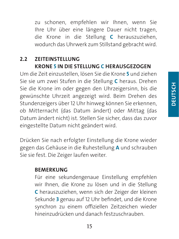zu schonen, empfehlen wir Ihnen, wenn Sie Ihre Uhr über eine längere Dauer nicht tragen, die Krone in die Stellung C herauszuziehen, wodurch das Uhrwerk zum Stillstand gebracht wird.

## 2.2 ZEITEINSTELLUNG KRONE 5 IN DIE STELLUNG C HERAUSGEZOGEN

Um die Zeit einzustellen, lösen Sie die Krone 5 und ziehen Sie sie um zwei Stufen in die Stellung C heraus. Drehen Sie die Krone im oder gegen den Uhrzeigersinn, bis die gewünschte Uhrzeit angezeigt wird. Beim Drehen des Stundenzeigers über 12 Uhr hinweg können Sie erkennen, ob Mitternacht (das Datum ändert) oder Mittag (das Datum ändert nicht) ist. Stellen Sie sicher, dass das zuvor eingestellte Datum nicht geändert wird.

Drücken Sie nach erfolgter Einstellung die Krone wieder gegen das Gehäuse in die Ruhestellung A und schrauben Sie sie fest. Die Zeiger laufen weiter.

#### **BEMERKUNG**

Für eine sekundengenaue Einstellung empfehlen wir Ihnen, die Krone zu lösen und in die Stellung C herauszuziehen, wenn sich der Zeiger der kleinen Sekunde 3 genau auf 12 Uhr befindet, und die Krone synchron zu einem offiziellen Zeitzeichen wieder hineinzudrücken und danach festzuschrauben.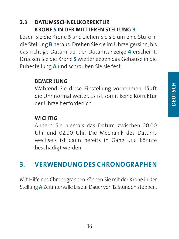#### 2.3 DATUMSSCHNELLKORREKTUR KRONE 5 IN DER MITTLEREN STELLUNG B

Lösen Sie die Krone 5 und ziehen Sie sie um eine Stufe in die Stellung B heraus. Drehen Sie sie im Uhrzeigersinn, bis das richtige Datum bei der Datumsanzeige 4 erscheint. Drücken Sie die Krone 5 wieder gegen das Gehäuse in die Ruhestellung A und schrauben Sie sie fest.

#### BEMERKUNG

Während Sie diese Einstellung vornehmen, läuft die Uhr normal weiter. Es ist somit keine Korrektur der Uhrzeit erforderlich.

#### **WICHTIG**

Ändern Sie niemals das Datum zwischen 20.00 Uhr und 02.00 Uhr. Die Mechanik des Datums wechsels ist dann bereits in Gang und könnte beschädigt werden.

## 3. VERWENDUNG DES CHRONOGRAPHEN

Mit Hilfe des Chronographen können Sie mit der Krone in der Stellung A Zeitintervalle bis zur Dauer von 12 Stunden stoppen.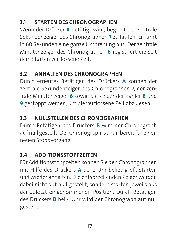## 3.1 STARTEN DES CHRONOGRAPHEN

Wenn der Drücker A betätigt wird, beginnt der zentrale Sekundenzeiger des Chronographen 7 zu laufen. Er führt in 60 Sekunden eine ganze Umdrehung aus. Der zentrale Minutenzeiger des Chronographen 6 registriert die seit dem Starten verflossene Zeit.

## 3.2 ANHALTEN DES CHRONOGRAPHEN

Durch erneutes Betätigen des Drückers A können der zentrale Sekundenzeiger des Chronographen 7, der zentrale Minutenzeiger 6 sowie die Zeiger der Zähler 8 und 9 gestoppt werden, um die verflossene Zeit abzulesen.

## 3.3 NULLSTELLEN DES CHRONOGRAPHEN

Durch Betätigen des Drückers B wird der Chronograph auf null gestellt. Der Chronograph ist nun bereit für einen neuen Stoppvorgang.

## 3.4 ADDITIONSSTOPPZEITEN

Für Additionsstoppzeiten können Sie den Chronographen mit Hilfe des Drückers A bei 2 Uhr beliebig oft starten und wieder anhalten. Die entsprechenden Zeiger werden dabei nicht auf null gestellt, sondern starten jeweils aus der zuletzt eingenommenen Position. Durch Betätigen des Drückers B bei 4 Uhr wird der Chronograph auf null gestellt.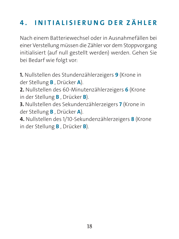# 4 . INITIALISIERUNG DER ZÄHLER

Nach einem Batteriewechsel oder in Ausnahmefällen bei einer Verstellung müssen die Zähler vor dem Stoppvorgang initialisiert (auf null gestellt werden) werden. Gehen Sie bei Bedarf wie folgt vor:

1. Nullstellen des Stundenzählerzeigers 9 (Krone in der Stellung B , Drücker A). 2. Nullstellen des 60-Minutenzählerzeigers 6 (Krone in der Stellung B , Drücker B). 3. Nullstellen des Sekundenzählerzeigers 7 (Krone in der Stellung **B**, Drücker A). 4. Nullstellen des 1/10-Sekundenzählerzeigers 8 (Krone in der Stellung B , Drücker B).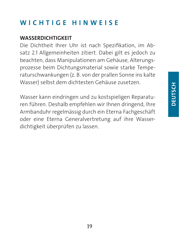## WICHTIGE HINWEISE

#### WASSERDICHTIGKEIT

Die Dichtheit Ihrer Uhr ist nach Spezifikation, im Absatz 2.1 Allgemeinheiten zitiert. Dabei gilt es jedoch zu beachten, dass Manipulationen am Gehäuse, Alterungsprozesse beim Dichtungsmaterial sowie starke Temperaturschwankungen (z. B. von der prallen Sonne ins kalte Wasser) selbst dem dichtesten Gehäuse zusetzen.

Wasser kann eindringen und zu kostspieligen Reparaturen führen. Deshalb empfehlen wir Ihnen dringend, Ihre Armbanduhr regelmässig durch ein Eterna Fachgeschäft oder eine Eterna Generalvertretung auf ihre Wasserdichtigkeit überprüfen zu lassen.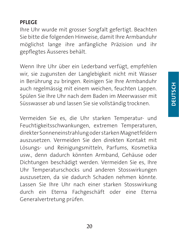#### PFLEGE

Ihre Uhr wurde mit grosser Sorgfalt gefertigt. Beachten Sie bitte die folgenden Hinweise, damit Ihre Armbanduhr möglichst lange ihre anfängliche Präzision und ihr gepflegtes Äusseres behält.

Wenn Ihre Uhr über ein Lederband verfügt, empfehlen wir, sie zugunsten der Langlebigkeit nicht mit Wasser in Berührung zu bringen. Reinigen Sie Ihre Armbanduhr auch regelmässig mit einem weichen, feuchten Lappen. Spülen Sie Ihre Uhr nach dem Baden im Meerwasser mit Süsswasser ab und lassen Sie sie vollständig trocknen.

Vermeiden Sie es, die Uhr starken Temperatur- und Feuchtigkeitsschwankungen, extremen Temperaturen, direkter Sonneneinstrahlung oder starken Magnetfeldern auszusetzen. Vermeiden Sie den direkten Kontakt mit Lösungs- und Reinigungsmitteln, Parfums, Kosmetika usw., denn dadurch könnten Armband, Gehäuse oder Dichtungen beschädigt werden. Vermeiden Sie es, Ihre Uhr Temperaturschocks und anderen Stosswirkungen auszusetzen, da sie dadurch Schaden nehmen könnte. Lassen Sie Ihre Uhr nach einer starken Stosswirkung durch ein Eterna Fachgeschäft oder eine Eterna Generalvertretung prüfen.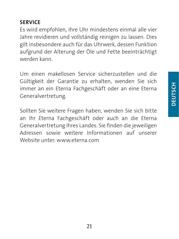#### SERVICE

Es wird empfohlen, Ihre Uhr mindestens einmal alle vier Jahre revidieren und vollständig reinigen zu lassen. Dies gilt insbesondere auch für das Uhrwerk, dessen Funktion aufgrund der Alterung der Öle und Fette beeinträchtigt werden kann.

Um einen makellosen Service sicherzustellen und die Gültigkeit der Garantie zu erhalten, wenden Sie sich immer an ein Eterna Fachgeschäft oder an eine Eterna Generalvertretung.

Sollten Sie weitere Fragen haben, wenden Sie sich bitte an Ihr Eterna Fachgeschäft oder auch an die Eterna Generalvertretung Ihres Landes. Sie finden die jeweiligen Adressen sowie weitere Informationen auf unserer Website unter: www.eterna.com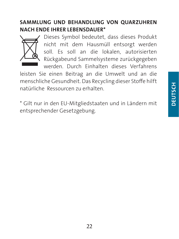#### SAMMLUNG UND BEHANDLUNG VON QUARZUHREN NACH ENDE IHRER LEBENSDAUER\*



Dieses Symbol bedeutet, dass dieses Produkt nicht mit dem Hausmüll entsorgt werden soll. Es soll an die lokalen, autorisierten Rückgabeund Sammelsysteme zurückgegeben werden. Durch Einhalten dieses Verfahrens

leisten Sie einen Beitrag an die Umwelt und an die menschliche Gesundheit. Das Recycling dieser Stoffe hilft natürliche Ressourcen zu erhalten.

\* Gilt nur in den EU-Mitgliedstaaten und in Ländern mit entsprechender Gesetzgebung.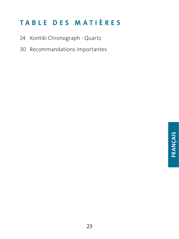# TABLE DES MATIÈRES

- 24 Kontiki Chronograph Quartz
- 30 Recommandations importantes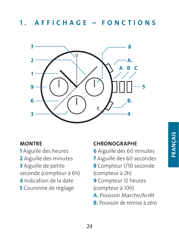## 1. AFFICHAGE - FONCTIONS



#### **MONTRE**

- 1 Aiguille des heures
- 2 Aiguille des minutes
- 3 Aiguille de petite
- seconde (compteur à 6h)
- 4 Indication de la date
- 5 Couronne de réglage

#### **CHRONOGRAPHE**

- 6 Aiguille des 60 minutes
- 7 Aiguille des 60 secondes
- 8 Compteur 1/10 seconde
- (compteur à 2h)
- 9 Compteur 12 heures (compteur à 10h)
- A. Poussoir Marche/Arrêt
- B. Poussoir de remise à zéro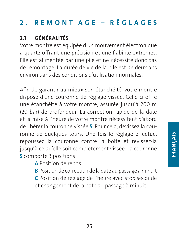# 2. REMONT AGE - RÉGLAGES

## 2.1 GÉNÉRALITÉS

Votre montre est équipée d'un mouvement électronique à quartz offrant une précision et une fiabilité extrêmes. Elle est alimentée par une pile et ne nécessite donc pas de remontage. La durée de vie de la pile est de deux ans environ dans des conditions d'utilisation normales.

Afin de garantir au mieux son étanchéité, votre montre dispose d'une couronne de réglage vissée. Celle-ci offre une étanchéité à votre montre, assurée jusqu'à 200 m (20 bar) de profondeur. La correction rapide de la date et la mise à l'heure de votre montre nécessitent d'abord de libérer la couronne vissée 5. Pour cela, dévissez la couronne de quelques tours. Une fois le réglage effectué, repoussez la couronne contre la boîte et revissez-la jusqu'à ce qu'elle soit complètement vissée. La couronne 5 comporte 3 positions :

A Position de repos

B Position de correction de la date au passage à minuit

C Position de réglage de l'heure avec stop seconde et changement de la date au passage à minuit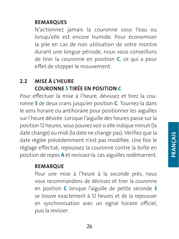#### **REMARQUES**

N'actionnez jamais la couronne sous l'eau ou lorsqu'elle est encore humide. Pour économiser la pile en cas de non utilisation de votre montre durant une longue période, nous vous conseillons de tirer la couronne en position C, ce qui a pour effet de stopper le mouvement.

#### 2.2 MISE À L'HEURE COURONNE 5 TIRÉE EN POSITION C

Pour effectuer la mise à l'heure, dévissez et tirez la couronne 5 de deux crans jusqu'en position C. Tournez-la dans le sens horaire ou antihoraire pour positionner les aiguilles sur l'heure désirée. Lorsque l'aiguille des heures passe sur la position 12 heures, vous pouvez voir si elle indique minuit (la date change) ou midi (la date ne change pas). Vérifiez que la date réglée précédemment n'est pas modifiée. Une fois le réglage effectué, repoussez la couronne contre la boîte en position de repos A et revissez-la. Les aiguilles redémarrent.

#### REMARQUE

Pour une mise à l'heure à la seconde près, nous vous recommandons de dévissez et tirer la couronne en position C lorsque l'aiguille de petite seconde 3 se trouve exactement à 12 heures et de la repousser en synchronisation avec un signal horaire officiel, puis la revisser.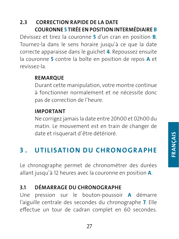#### 2.3 CORRECTION RAPIDE DE LA DATE COURONNE 5 TIRÉE EN POSITION INTERMÉDIAIRE B

Dévissez et tirez la couronne 5 d'un cran en position B. Tournez-la dans le sens horaire jusqu'à ce que la date correcte apparaisse dans le guichet 4. Repoussez ensuite la couronne 5 contre la boîte en position de repos A et revissez-la.

#### **REMARQUE**

Durant cette manipulation, votre montre continue à fonctionner normalement et ne nécessite donc pas de correction de l'heure.

#### IMPORTANT

Ne corrigez jamais la date entre 20h00 et 02h00 du matin. Le mouvement est en train de changer de date et risquerait d'être détérioré.

## 3 . UTILISATION DU CHRONOGRAPHE

Le chronographe permet de chronométrer des durées allant jusqu'à 12 heures avec la couronne en position A.

## 3.1 DÉMARRAGE DU CHRONOGRAPHE

Une pression sur le bouton-poussoir A démarre l'aiguille centrale des secondes du chronographe 7. Elle effectue un tour de cadran complet en 60 secondes.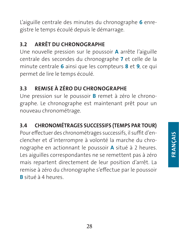L'aiguille centrale des minutes du chronographe 6 enregistre le temps écoulé depuis le démarrage.

## 3.2 ARRÊT DU CHRONOGRAPHE

Une nouvelle pression sur le poussoir A arrête l'aiguille centrale des secondes du chronographe 7 et celle de la minute centrale 6 ainsi que les compteurs 8 et 9, ce qui permet de lire le temps écoulé.

## 3.3 REMISE À ZÉRO DU CHRONOGRAPHE

Une pression sur le poussoir B remet à zéro le chronographe. Le chronographe est maintenant prêt pour un nouveau chronométrage.

## 3.4 CHRONOMÉTRAGES SUCCESSIFS (TEMPS PAR TOUR)

Pour effectuer des chronométrages successifs, il suffit d'enclencher et d'interrompre à volonté la marche du chronographe en actionnant le poussoir A situé à 2 heures. Les aiguilles correspondantes ne se remettent pas à zéro mais repartent directement de leur position d'arrêt. La remise à zéro du chronographe s'effectue par le poussoir B situé à 4 heures.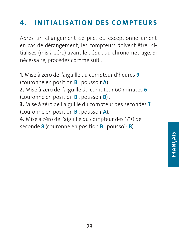# 4 . INITIALISATION DES COMPTEURS

Après un changement de pile, ou exceptionnellement en cas de dérangement, les compteurs doivent être initialisés (mis à zéro) avant le début du chronométrage. Si nécessaire, procédez comme suit :

1. Mise à zéro de l'aiguille du compteur d'heures 9 (couronne en position B , poussoir A). 2. Mise à zéro de l'aiguille du compteur 60 minutes 6 (couronne en position  $\bf{B}$ , poussoir  $\bf{B}$ ). 3. Mise à zéro de l'aiguille du compteur des secondes 7 (couronne en position B , poussoir A). 4. Mise à zéro de l'aiguille du compteur des 1/10 de seconde 8 (couronne en position **B**, poussoir **B**).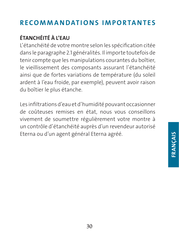# RECOMMANDATIONS IMPORTANTES

## ÉTANCHÉITÉ À L'EAU

L'étanchéité de votre montre selon les spécification citée dans le paragraphe 2.1 généralités. Il importe toutefois de tenir compte que les manipulations courantes du boîtier, le vieillissement des composants assurant l'étanchéité ainsi que de fortes variations de température (du soleil ardent à l'eau froide, par exemple), peuvent avoir raison du boîtier le plus étanche.

Les infiltrations d'eau et d'humidité pouvant occasionner de coûteuses remises en état, nous vous conseillons vivement de soumettre régulièrement votre montre à un contrôle d'étanchéité auprès d'un revendeur autorisé Eterna ou d'un agent général Eterna agréé.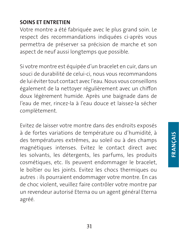#### SOINS ET ENTRETIEN

Votre montre a été fabriquée avec le plus grand soin. Le respect des recommandations indiquées ci-après vous permettra de préserver sa précision de marche et son aspect de neuf aussi longtemps que possible.

Si votre montre est équipée d'un bracelet en cuir, dans un souci de durabilité de celui-ci, nous vous recommandons de lui éviter tout contact avec l'eau. Nous vous conseillons également de la nettoyer régulièrement avec un chiffon doux légèrement humide. Après une baignade dans de l'eau de mer, rincez-la à l'eau douce et laissez-la sécher complètement.

Evitez de laisser votre montre dans des endroits exposés à de fortes variations de température ou d'humidité, à des températures extrêmes, au soleil ou à des champs magnétiques intenses. Evitez le contact direct avec les solvants, les détergents, les parfums, les produits cosmétiques, etc. Ils peuvent endommager le bracelet, le boîtier ou les joints. Evitez les chocs thermiques ou autres : ils pourraient endommager votre montre. En cas de choc violent, veuillez faire contrôler votre montre par un revendeur autorisé Eterna ou un agent général Eterna agréé.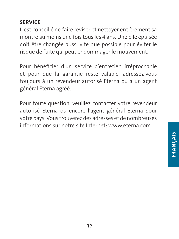#### SERVICE

Il est conseillé de faire réviser et nettoyer entièrement sa montre au moins une fois tous les 4 ans. Une pile épuisée doit être changée aussi vite que possible pour éviter le risque de fuite qui peut endommager le mouvement.

Pour bénéficier d'un service d'entretien irréprochable et pour que la garantie reste valable, adressez-vous toujours à un revendeur autorisé Eterna ou à un agent général Eterna agréé.

Pour toute question, veuillez contacter votre revendeur autorisé Eterna ou encore l'agent général Eterna pour votre pays. Vous trouverez des adresses et de nombreuses informations sur notre site Internet: www.eterna.com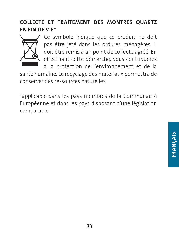#### COLLECTE ET TRAITEMENT DES MONTRES QUARTZ EN FIN DE VIE\*



Ce symbole indique que ce produit ne doit pas être jeté dans les ordures ménagères. Il doit être remis à un point de collecte agréé. En effectuant cette démarche, vous contribuerez

à la protection de l'environnement et de la santé humaine. Le recyclage des matériaux permettra de conserver des ressources naturelles.

\*applicable dans les pays membres de la Communauté Européenne et dans les pays disposant d'une législation comparable.